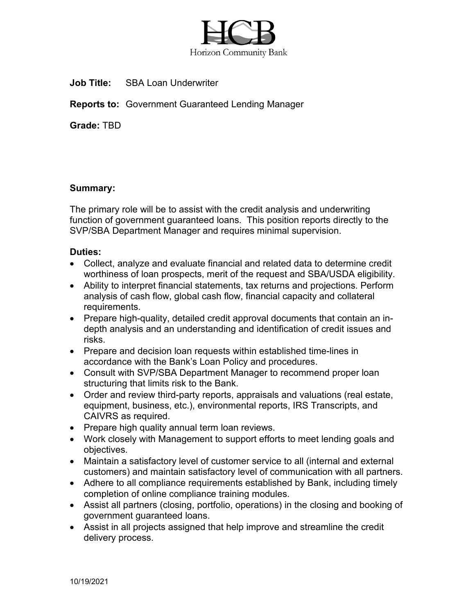

**Job Title:** SBA Loan Underwriter

**Reports to:** Government Guaranteed Lending Manager

**Grade:** TBD

## **Summary:**

The primary role will be to assist with the credit analysis and underwriting function of government guaranteed loans. This position reports directly to the SVP/SBA Department Manager and requires minimal supervision.

## **Duties:**

- Collect, analyze and evaluate financial and related data to determine credit worthiness of loan prospects, merit of the request and SBA/USDA eligibility.
- Ability to interpret financial statements, tax returns and projections. Perform analysis of cash flow, global cash flow, financial capacity and collateral requirements.
- Prepare high-quality, detailed credit approval documents that contain an indepth analysis and an understanding and identification of credit issues and risks.
- Prepare and decision loan requests within established time-lines in accordance with the Bank's Loan Policy and procedures.
- Consult with SVP/SBA Department Manager to recommend proper loan structuring that limits risk to the Bank.
- Order and review third-party reports, appraisals and valuations (real estate, equipment, business, etc.), environmental reports, IRS Transcripts, and CAIVRS as required.
- Prepare high quality annual term loan reviews.
- Work closely with Management to support efforts to meet lending goals and objectives.
- Maintain a satisfactory level of customer service to all (internal and external customers) and maintain satisfactory level of communication with all partners.
- Adhere to all compliance requirements established by Bank, including timely completion of online compliance training modules.
- Assist all partners (closing, portfolio, operations) in the closing and booking of government guaranteed loans.
- Assist in all projects assigned that help improve and streamline the credit delivery process.